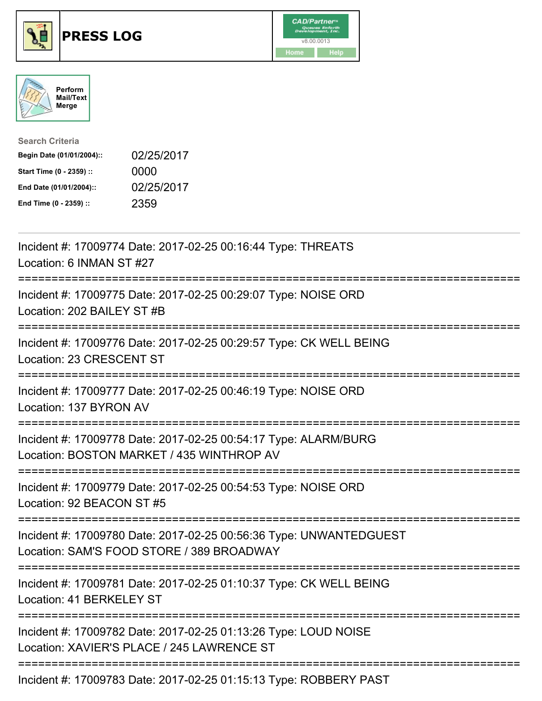





| <b>Search Criteria</b>    |            |
|---------------------------|------------|
| Begin Date (01/01/2004):: | 02/25/2017 |
| Start Time (0 - 2359) ::  | 0000       |
| End Date (01/01/2004)::   | 02/25/2017 |
| End Time (0 - 2359) ::    | 2359       |

| Incident #: 17009774 Date: 2017-02-25 00:16:44 Type: THREATS<br>Location: 6 INMAN ST #27                                                          |
|---------------------------------------------------------------------------------------------------------------------------------------------------|
| Incident #: 17009775 Date: 2017-02-25 00:29:07 Type: NOISE ORD<br>Location: 202 BAILEY ST #B                                                      |
| Incident #: 17009776 Date: 2017-02-25 00:29:57 Type: CK WELL BEING<br>Location: 23 CRESCENT ST<br>--------------                                  |
| Incident #: 17009777 Date: 2017-02-25 00:46:19 Type: NOISE ORD<br>Location: 137 BYRON AV                                                          |
| Incident #: 17009778 Date: 2017-02-25 00:54:17 Type: ALARM/BURG<br>Location: BOSTON MARKET / 435 WINTHROP AV                                      |
| Incident #: 17009779 Date: 2017-02-25 00:54:53 Type: NOISE ORD<br>Location: 92 BEACON ST #5                                                       |
| Incident #: 17009780 Date: 2017-02-25 00:56:36 Type: UNWANTEDGUEST<br>Location: SAM'S FOOD STORE / 389 BROADWAY<br>------------------------------ |
| Incident #: 17009781 Date: 2017-02-25 01:10:37 Type: CK WELL BEING<br>Location: 41 BERKELEY ST                                                    |
| --------------------<br>Incident #: 17009782 Date: 2017-02-25 01:13:26 Type: LOUD NOISE<br>Location: XAVIER'S PLACE / 245 LAWRENCE ST             |
| Incident #: 17009783 Date: 2017-02-25 01:15:13 Type: ROBBERY PAST                                                                                 |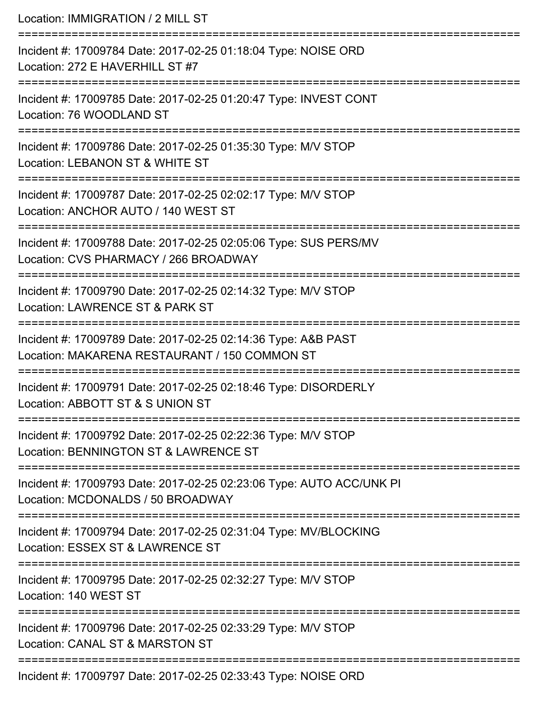| Location: IMMIGRATION / 2 MILL ST                                                                                               |
|---------------------------------------------------------------------------------------------------------------------------------|
| Incident #: 17009784 Date: 2017-02-25 01:18:04 Type: NOISE ORD<br>Location: 272 E HAVERHILL ST #7<br>---------------------      |
| Incident #: 17009785 Date: 2017-02-25 01:20:47 Type: INVEST CONT<br>Location: 76 WOODLAND ST                                    |
| Incident #: 17009786 Date: 2017-02-25 01:35:30 Type: M/V STOP<br>Location: LEBANON ST & WHITE ST                                |
| Incident #: 17009787 Date: 2017-02-25 02:02:17 Type: M/V STOP<br>Location: ANCHOR AUTO / 140 WEST ST                            |
| Incident #: 17009788 Date: 2017-02-25 02:05:06 Type: SUS PERS/MV<br>Location: CVS PHARMACY / 266 BROADWAY                       |
| ---------------------------<br>Incident #: 17009790 Date: 2017-02-25 02:14:32 Type: M/V STOP<br>Location: LAWRENCE ST & PARK ST |
| Incident #: 17009789 Date: 2017-02-25 02:14:36 Type: A&B PAST<br>Location: MAKARENA RESTAURANT / 150 COMMON ST                  |
| Incident #: 17009791 Date: 2017-02-25 02:18:46 Type: DISORDERLY<br>Location: ABBOTT ST & S UNION ST                             |
| Incident #: 17009792 Date: 2017-02-25 02:22:36 Type: M/V STOP<br>Location: BENNINGTON ST & LAWRENCE ST                          |
| Incident #: 17009793 Date: 2017-02-25 02:23:06 Type: AUTO ACC/UNK PI<br>Location: MCDONALDS / 50 BROADWAY                       |
| Incident #: 17009794 Date: 2017-02-25 02:31:04 Type: MV/BLOCKING<br>Location: ESSEX ST & LAWRENCE ST                            |
| Incident #: 17009795 Date: 2017-02-25 02:32:27 Type: M/V STOP<br>Location: 140 WEST ST                                          |
| Incident #: 17009796 Date: 2017-02-25 02:33:29 Type: M/V STOP<br>Location: CANAL ST & MARSTON ST                                |
| Incident #: 17009797 Date: 2017-02-25 02:33:43 Type: NOISE ORD                                                                  |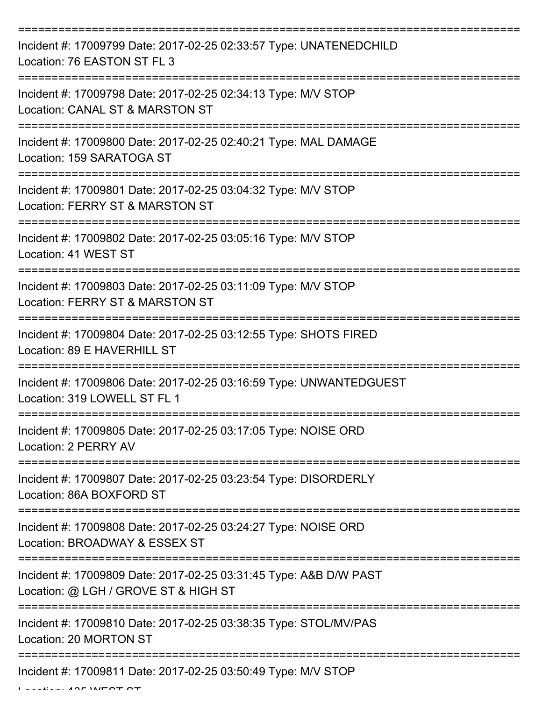| Incident #: 17009799 Date: 2017-02-25 02:33:57 Type: UNATENEDCHILD<br>Location: 76 EASTON ST FL 3         |
|-----------------------------------------------------------------------------------------------------------|
| Incident #: 17009798 Date: 2017-02-25 02:34:13 Type: M/V STOP<br>Location: CANAL ST & MARSTON ST          |
| Incident #: 17009800 Date: 2017-02-25 02:40:21 Type: MAL DAMAGE<br>Location: 159 SARATOGA ST              |
| Incident #: 17009801 Date: 2017-02-25 03:04:32 Type: M/V STOP<br>Location: FERRY ST & MARSTON ST          |
| Incident #: 17009802 Date: 2017-02-25 03:05:16 Type: M/V STOP<br>Location: 41 WEST ST                     |
| Incident #: 17009803 Date: 2017-02-25 03:11:09 Type: M/V STOP<br>Location: FERRY ST & MARSTON ST          |
| Incident #: 17009804 Date: 2017-02-25 03:12:55 Type: SHOTS FIRED<br>Location: 89 E HAVERHILL ST           |
| Incident #: 17009806 Date: 2017-02-25 03:16:59 Type: UNWANTEDGUEST<br>Location: 319 LOWELL ST FL 1        |
| Incident #: 17009805 Date: 2017-02-25 03:17:05 Type: NOISE ORD<br>Location: 2 PERRY AV                    |
| Incident #: 17009807 Date: 2017-02-25 03:23:54 Type: DISORDERLY<br>Location: 86A BOXFORD ST               |
| Incident #: 17009808 Date: 2017-02-25 03:24:27 Type: NOISE ORD<br>Location: BROADWAY & ESSEX ST           |
| Incident #: 17009809 Date: 2017-02-25 03:31:45 Type: A&B D/W PAST<br>Location: @ LGH / GROVE ST & HIGH ST |
| Incident #: 17009810 Date: 2017-02-25 03:38:35 Type: STOL/MV/PAS<br>Location: 20 MORTON ST                |
| Incident #: 17009811 Date: 2017-02-25 03:50:49 Type: M/V STOP                                             |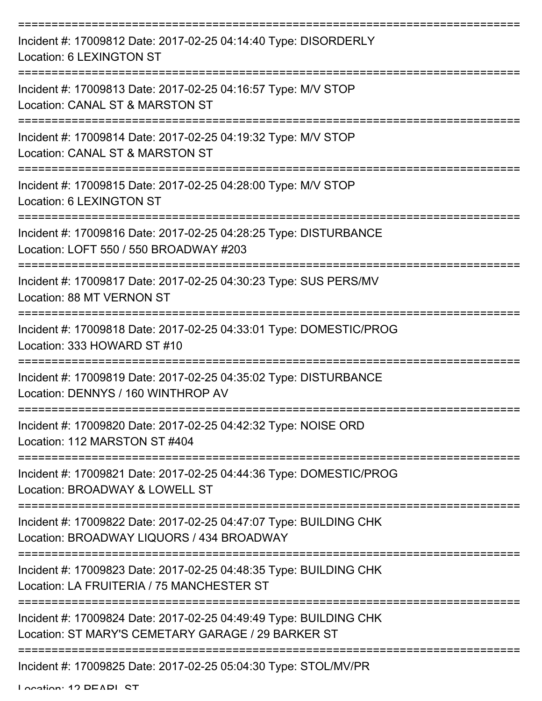| Incident #: 17009812 Date: 2017-02-25 04:14:40 Type: DISORDERLY<br>Location: 6 LEXINGTON ST                             |
|-------------------------------------------------------------------------------------------------------------------------|
| Incident #: 17009813 Date: 2017-02-25 04:16:57 Type: M/V STOP<br>Location: CANAL ST & MARSTON ST                        |
| Incident #: 17009814 Date: 2017-02-25 04:19:32 Type: M/V STOP<br>Location: CANAL ST & MARSTON ST                        |
| Incident #: 17009815 Date: 2017-02-25 04:28:00 Type: M/V STOP<br>Location: 6 LEXINGTON ST                               |
| Incident #: 17009816 Date: 2017-02-25 04:28:25 Type: DISTURBANCE<br>Location: LOFT 550 / 550 BROADWAY #203              |
| Incident #: 17009817 Date: 2017-02-25 04:30:23 Type: SUS PERS/MV<br>Location: 88 MT VERNON ST                           |
| Incident #: 17009818 Date: 2017-02-25 04:33:01 Type: DOMESTIC/PROG<br>Location: 333 HOWARD ST #10                       |
| Incident #: 17009819 Date: 2017-02-25 04:35:02 Type: DISTURBANCE<br>Location: DENNYS / 160 WINTHROP AV                  |
| Incident #: 17009820 Date: 2017-02-25 04:42:32 Type: NOISE ORD<br>Location: 112 MARSTON ST #404                         |
| Incident #: 17009821 Date: 2017-02-25 04:44:36 Type: DOMESTIC/PROG<br>Location: BROADWAY & LOWELL ST                    |
| Incident #: 17009822 Date: 2017-02-25 04:47:07 Type: BUILDING CHK<br>Location: BROADWAY LIQUORS / 434 BROADWAY          |
| Incident #: 17009823 Date: 2017-02-25 04:48:35 Type: BUILDING CHK<br>Location: LA FRUITERIA / 75 MANCHESTER ST          |
| Incident #: 17009824 Date: 2017-02-25 04:49:49 Type: BUILDING CHK<br>Location: ST MARY'S CEMETARY GARAGE / 29 BARKER ST |
| Incident #: 17009825 Date: 2017-02-25 05:04:30 Type: STOL/MV/PR                                                         |

Location: 12 DEADL CT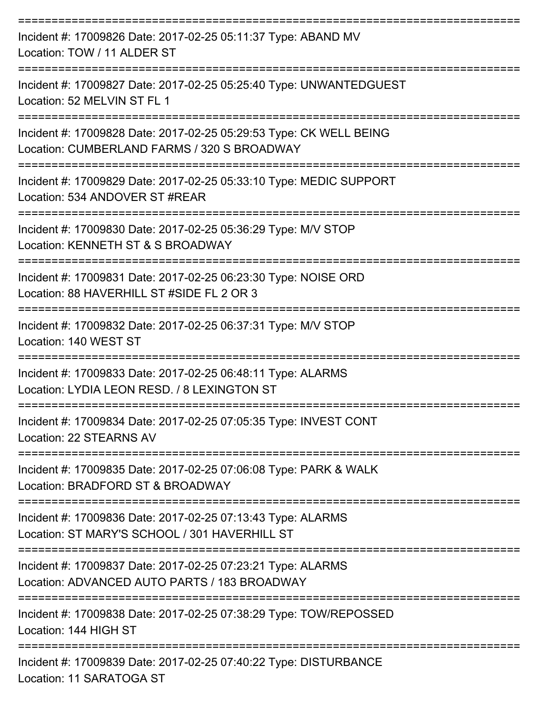| Incident #: 17009826 Date: 2017-02-25 05:11:37 Type: ABAND MV<br>Location: TOW / 11 ALDER ST                                |
|-----------------------------------------------------------------------------------------------------------------------------|
| Incident #: 17009827 Date: 2017-02-25 05:25:40 Type: UNWANTEDGUEST<br>Location: 52 MELVIN ST FL 1                           |
| Incident #: 17009828 Date: 2017-02-25 05:29:53 Type: CK WELL BEING<br>Location: CUMBERLAND FARMS / 320 S BROADWAY           |
| Incident #: 17009829 Date: 2017-02-25 05:33:10 Type: MEDIC SUPPORT<br>Location: 534 ANDOVER ST #REAR                        |
| Incident #: 17009830 Date: 2017-02-25 05:36:29 Type: M/V STOP<br>Location: KENNETH ST & S BROADWAY                          |
| Incident #: 17009831 Date: 2017-02-25 06:23:30 Type: NOISE ORD<br>Location: 88 HAVERHILL ST #SIDE FL 2 OR 3                 |
| Incident #: 17009832 Date: 2017-02-25 06:37:31 Type: M/V STOP<br>Location: 140 WEST ST                                      |
| Incident #: 17009833 Date: 2017-02-25 06:48:11 Type: ALARMS<br>Location: LYDIA LEON RESD. / 8 LEXINGTON ST                  |
| Incident #: 17009834 Date: 2017-02-25 07:05:35 Type: INVEST CONT<br>Location: 22 STEARNS AV                                 |
| -------------------<br>Incident #: 17009835 Date: 2017-02-25 07:06:08 Type: PARK & WALK<br>Location: BRADFORD ST & BROADWAY |
| Incident #: 17009836 Date: 2017-02-25 07:13:43 Type: ALARMS<br>Location: ST MARY'S SCHOOL / 301 HAVERHILL ST                |
| Incident #: 17009837 Date: 2017-02-25 07:23:21 Type: ALARMS<br>Location: ADVANCED AUTO PARTS / 183 BROADWAY                 |
| Incident #: 17009838 Date: 2017-02-25 07:38:29 Type: TOW/REPOSSED<br>Location: 144 HIGH ST                                  |
| Incident #: 17009839 Date: 2017-02-25 07:40:22 Type: DISTURBANCE<br>Location: 11 SARATOGA ST                                |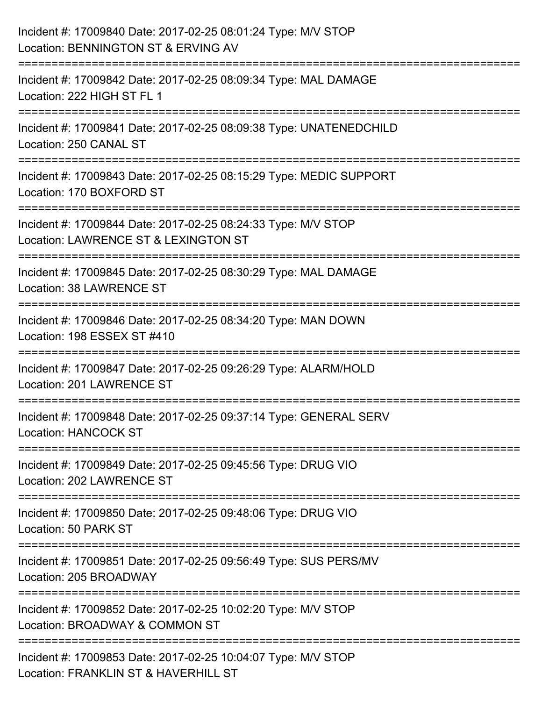| Incident #: 17009840 Date: 2017-02-25 08:01:24 Type: M/V STOP<br>Location: BENNINGTON ST & ERVING AV                |
|---------------------------------------------------------------------------------------------------------------------|
| Incident #: 17009842 Date: 2017-02-25 08:09:34 Type: MAL DAMAGE<br>Location: 222 HIGH ST FL 1                       |
| :==================<br>Incident #: 17009841 Date: 2017-02-25 08:09:38 Type: UNATENEDCHILD<br>Location: 250 CANAL ST |
| Incident #: 17009843 Date: 2017-02-25 08:15:29 Type: MEDIC SUPPORT<br>Location: 170 BOXFORD ST                      |
| Incident #: 17009844 Date: 2017-02-25 08:24:33 Type: M/V STOP<br>Location: LAWRENCE ST & LEXINGTON ST               |
| Incident #: 17009845 Date: 2017-02-25 08:30:29 Type: MAL DAMAGE<br><b>Location: 38 LAWRENCE ST</b>                  |
| Incident #: 17009846 Date: 2017-02-25 08:34:20 Type: MAN DOWN<br>Location: 198 ESSEX ST #410                        |
| Incident #: 17009847 Date: 2017-02-25 09:26:29 Type: ALARM/HOLD<br>Location: 201 LAWRENCE ST                        |
| Incident #: 17009848 Date: 2017-02-25 09:37:14 Type: GENERAL SERV<br><b>Location: HANCOCK ST</b>                    |
| Incident #: 17009849 Date: 2017-02-25 09:45:56 Type: DRUG VIO<br>Location: 202 LAWRENCE ST                          |
| Incident #: 17009850 Date: 2017-02-25 09:48:06 Type: DRUG VIO<br>Location: 50 PARK ST                               |
| Incident #: 17009851 Date: 2017-02-25 09:56:49 Type: SUS PERS/MV<br>Location: 205 BROADWAY                          |
| Incident #: 17009852 Date: 2017-02-25 10:02:20 Type: M/V STOP<br>Location: BROADWAY & COMMON ST                     |
| Incident #: 17009853 Date: 2017-02-25 10:04:07 Type: M/V STOP<br>Location: FRANKLIN ST & HAVERHILL ST               |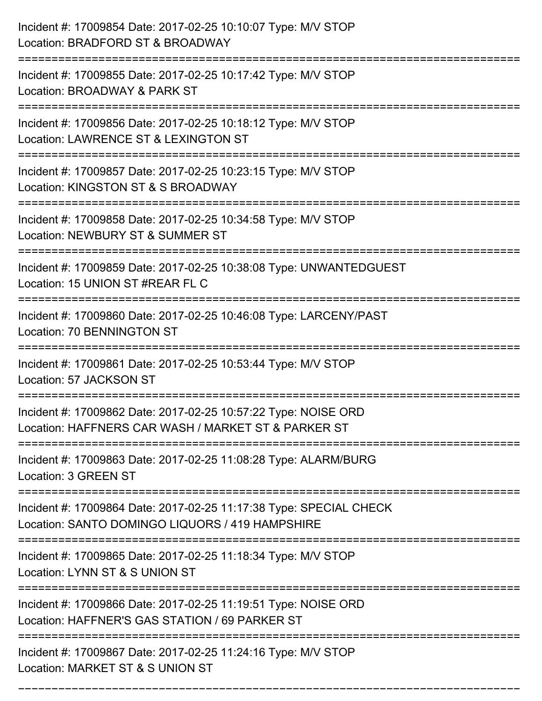| Incident #: 17009854 Date: 2017-02-25 10:10:07 Type: M/V STOP<br>Location: BRADFORD ST & BROADWAY                                     |
|---------------------------------------------------------------------------------------------------------------------------------------|
| Incident #: 17009855 Date: 2017-02-25 10:17:42 Type: M/V STOP<br>Location: BROADWAY & PARK ST                                         |
| Incident #: 17009856 Date: 2017-02-25 10:18:12 Type: M/V STOP<br>Location: LAWRENCE ST & LEXINGTON ST                                 |
| Incident #: 17009857 Date: 2017-02-25 10:23:15 Type: M/V STOP<br>Location: KINGSTON ST & S BROADWAY                                   |
| Incident #: 17009858 Date: 2017-02-25 10:34:58 Type: M/V STOP<br>Location: NEWBURY ST & SUMMER ST                                     |
| Incident #: 17009859 Date: 2017-02-25 10:38:08 Type: UNWANTEDGUEST<br>Location: 15 UNION ST #REAR FL C                                |
| Incident #: 17009860 Date: 2017-02-25 10:46:08 Type: LARCENY/PAST<br>Location: 70 BENNINGTON ST                                       |
| Incident #: 17009861 Date: 2017-02-25 10:53:44 Type: M/V STOP<br>Location: 57 JACKSON ST                                              |
| Incident #: 17009862 Date: 2017-02-25 10:57:22 Type: NOISE ORD<br>Location: HAFFNERS CAR WASH / MARKET ST & PARKER ST                 |
| Incident #: 17009863 Date: 2017-02-25 11:08:28 Type: ALARM/BURG<br>Location: 3 GREEN ST                                               |
| Incident #: 17009864 Date: 2017-02-25 11:17:38 Type: SPECIAL CHECK<br>Location: SANTO DOMINGO LIQUORS / 419 HAMPSHIRE                 |
| ==================================<br>Incident #: 17009865 Date: 2017-02-25 11:18:34 Type: M/V STOP<br>Location: LYNN ST & S UNION ST |
| Incident #: 17009866 Date: 2017-02-25 11:19:51 Type: NOISE ORD<br>Location: HAFFNER'S GAS STATION / 69 PARKER ST                      |
| Incident #: 17009867 Date: 2017-02-25 11:24:16 Type: M/V STOP<br>Location: MARKET ST & S UNION ST                                     |

===========================================================================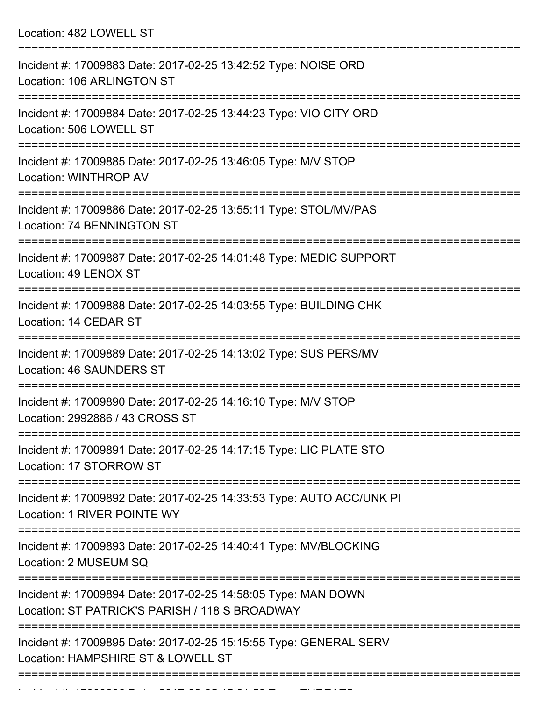Location: 482 LOWELL ST

| Incident #: 17009883 Date: 2017-02-25 13:42:52 Type: NOISE ORD<br>Location: 106 ARLINGTON ST                              |
|---------------------------------------------------------------------------------------------------------------------------|
| Incident #: 17009884 Date: 2017-02-25 13:44:23 Type: VIO CITY ORD<br>Location: 506 LOWELL ST                              |
| Incident #: 17009885 Date: 2017-02-25 13:46:05 Type: M/V STOP<br>Location: WINTHROP AV                                    |
| Incident #: 17009886 Date: 2017-02-25 13:55:11 Type: STOL/MV/PAS<br>Location: 74 BENNINGTON ST                            |
| Incident #: 17009887 Date: 2017-02-25 14:01:48 Type: MEDIC SUPPORT<br>Location: 49 LENOX ST                               |
| Incident #: 17009888 Date: 2017-02-25 14:03:55 Type: BUILDING CHK<br>Location: 14 CEDAR ST                                |
| =========================<br>Incident #: 17009889 Date: 2017-02-25 14:13:02 Type: SUS PERS/MV<br>Location: 46 SAUNDERS ST |
| Incident #: 17009890 Date: 2017-02-25 14:16:10 Type: M/V STOP<br>Location: 2992886 / 43 CROSS ST                          |
| Incident #: 17009891 Date: 2017-02-25 14:17:15 Type: LIC PLATE STO<br>Location: 17 STORROW ST                             |
| Incident #: 17009892 Date: 2017-02-25 14:33:53 Type: AUTO ACC/UNK PI<br>Location: 1 RIVER POINTE WY                       |
| Incident #: 17009893 Date: 2017-02-25 14:40:41 Type: MV/BLOCKING<br>Location: 2 MUSEUM SQ                                 |
| Incident #: 17009894 Date: 2017-02-25 14:58:05 Type: MAN DOWN<br>Location: ST PATRICK'S PARISH / 118 S BROADWAY           |
| Incident #: 17009895 Date: 2017-02-25 15:15:55 Type: GENERAL SERV<br>Location: HAMPSHIRE ST & LOWELL ST                   |
|                                                                                                                           |

Incident #: 17009896 Date: 2017 02 25 15:21:59 Type: THREATS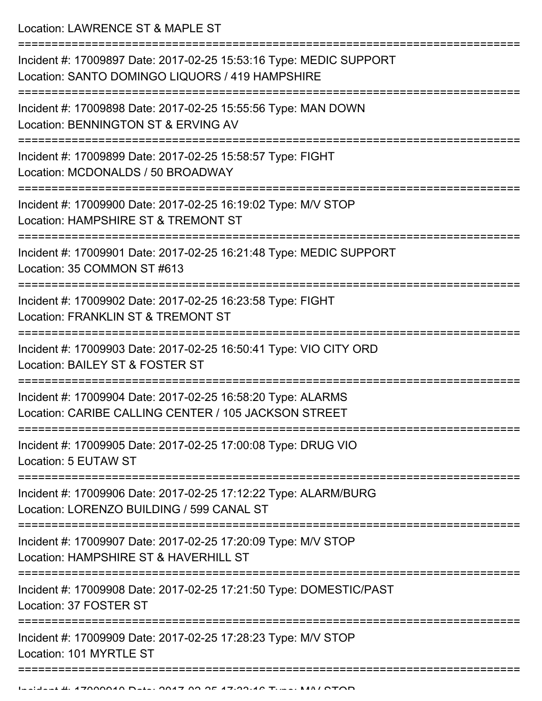Location: LAWRENCE ST & MAPLE ST

| Incident #: 17009897 Date: 2017-02-25 15:53:16 Type: MEDIC SUPPORT<br>Location: SANTO DOMINGO LIQUORS / 419 HAMPSHIRE |
|-----------------------------------------------------------------------------------------------------------------------|
| Incident #: 17009898 Date: 2017-02-25 15:55:56 Type: MAN DOWN<br>Location: BENNINGTON ST & ERVING AV                  |
| Incident #: 17009899 Date: 2017-02-25 15:58:57 Type: FIGHT<br>Location: MCDONALDS / 50 BROADWAY                       |
| Incident #: 17009900 Date: 2017-02-25 16:19:02 Type: M/V STOP<br>Location: HAMPSHIRE ST & TREMONT ST                  |
| Incident #: 17009901 Date: 2017-02-25 16:21:48 Type: MEDIC SUPPORT<br>Location: 35 COMMON ST #613                     |
| Incident #: 17009902 Date: 2017-02-25 16:23:58 Type: FIGHT<br>Location: FRANKLIN ST & TREMONT ST                      |
| Incident #: 17009903 Date: 2017-02-25 16:50:41 Type: VIO CITY ORD<br>Location: BAILEY ST & FOSTER ST                  |
| Incident #: 17009904 Date: 2017-02-25 16:58:20 Type: ALARMS<br>Location: CARIBE CALLING CENTER / 105 JACKSON STREET   |
| Incident #: 17009905 Date: 2017-02-25 17:00:08 Type: DRUG VIO<br>Location: 5 EUTAW ST                                 |
| Incident #: 17009906 Date: 2017-02-25 17:12:22 Type: ALARM/BURG<br>Location: LORENZO BUILDING / 599 CANAL ST          |
| Incident #: 17009907 Date: 2017-02-25 17:20:09 Type: M/V STOP<br>Location: HAMPSHIRE ST & HAVERHILL ST                |
| Incident #: 17009908 Date: 2017-02-25 17:21:50 Type: DOMESTIC/PAST<br>Location: 37 FOSTER ST                          |
| Incident #: 17009909 Date: 2017-02-25 17:28:23 Type: M/V STOP<br>Location: 101 MYRTLE ST                              |
|                                                                                                                       |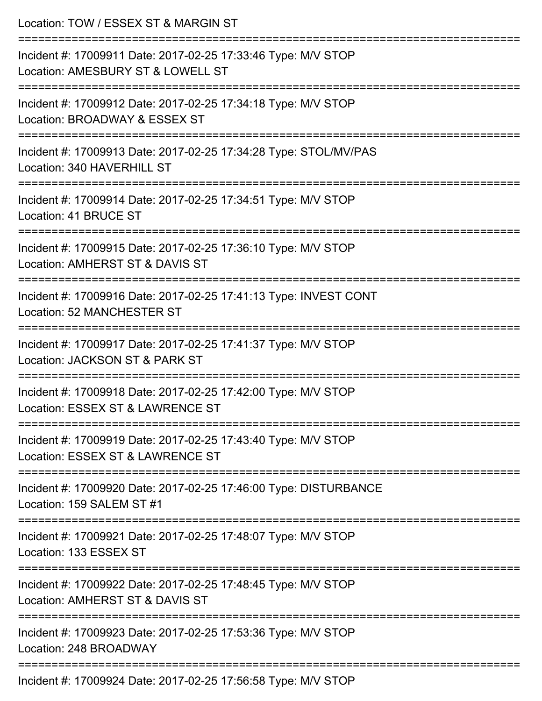| Location: TOW / ESSEX ST & MARGIN ST<br>----------------------------                                                         |
|------------------------------------------------------------------------------------------------------------------------------|
| Incident #: 17009911 Date: 2017-02-25 17:33:46 Type: M/V STOP<br>Location: AMESBURY ST & LOWELL ST                           |
| :=========================<br>Incident #: 17009912 Date: 2017-02-25 17:34:18 Type: M/V STOP<br>Location: BROADWAY & ESSEX ST |
| Incident #: 17009913 Date: 2017-02-25 17:34:28 Type: STOL/MV/PAS<br>Location: 340 HAVERHILL ST                               |
| Incident #: 17009914 Date: 2017-02-25 17:34:51 Type: M/V STOP<br>Location: 41 BRUCE ST                                       |
| Incident #: 17009915 Date: 2017-02-25 17:36:10 Type: M/V STOP<br>Location: AMHERST ST & DAVIS ST                             |
| Incident #: 17009916 Date: 2017-02-25 17:41:13 Type: INVEST CONT<br><b>Location: 52 MANCHESTER ST</b>                        |
| Incident #: 17009917 Date: 2017-02-25 17:41:37 Type: M/V STOP<br>Location: JACKSON ST & PARK ST                              |
| Incident #: 17009918 Date: 2017-02-25 17:42:00 Type: M/V STOP<br>Location: ESSEX ST & LAWRENCE ST                            |
| Incident #: 17009919 Date: 2017-02-25 17:43:40 Type: M/V STOP<br>Location: ESSEX ST & LAWRENCE ST                            |
| Incident #: 17009920 Date: 2017-02-25 17:46:00 Type: DISTURBANCE<br>Location: 159 SALEM ST #1                                |
| Incident #: 17009921 Date: 2017-02-25 17:48:07 Type: M/V STOP<br>Location: 133 ESSEX ST                                      |
| Incident #: 17009922 Date: 2017-02-25 17:48:45 Type: M/V STOP<br>Location: AMHERST ST & DAVIS ST                             |
| Incident #: 17009923 Date: 2017-02-25 17:53:36 Type: M/V STOP<br>Location: 248 BROADWAY                                      |
| $-1$ , $0017000777$                                                                                                          |

Incident #: 17009924 Date: 2017-02-25 17:56:58 Type: M/V STOP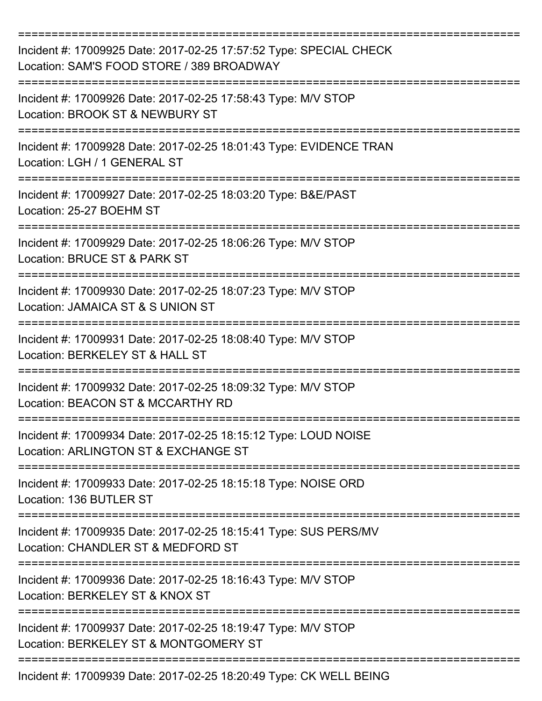| Incident #: 17009925 Date: 2017-02-25 17:57:52 Type: SPECIAL CHECK<br>Location: SAM'S FOOD STORE / 389 BROADWAY |
|-----------------------------------------------------------------------------------------------------------------|
| Incident #: 17009926 Date: 2017-02-25 17:58:43 Type: M/V STOP<br>Location: BROOK ST & NEWBURY ST                |
| Incident #: 17009928 Date: 2017-02-25 18:01:43 Type: EVIDENCE TRAN<br>Location: LGH / 1 GENERAL ST              |
| Incident #: 17009927 Date: 2017-02-25 18:03:20 Type: B&E/PAST<br>Location: 25-27 BOEHM ST                       |
| Incident #: 17009929 Date: 2017-02-25 18:06:26 Type: M/V STOP<br>Location: BRUCE ST & PARK ST                   |
| Incident #: 17009930 Date: 2017-02-25 18:07:23 Type: M/V STOP<br>Location: JAMAICA ST & S UNION ST              |
| Incident #: 17009931 Date: 2017-02-25 18:08:40 Type: M/V STOP<br>Location: BERKELEY ST & HALL ST                |
| Incident #: 17009932 Date: 2017-02-25 18:09:32 Type: M/V STOP<br>Location: BEACON ST & MCCARTHY RD              |
| Incident #: 17009934 Date: 2017-02-25 18:15:12 Type: LOUD NOISE<br>Location: ARLINGTON ST & EXCHANGE ST         |
| Incident #: 17009933 Date: 2017-02-25 18:15:18 Type: NOISE ORD<br>Location: 136 BUTLER ST                       |
| Incident #: 17009935 Date: 2017-02-25 18:15:41 Type: SUS PERS/MV<br>Location: CHANDLER ST & MEDFORD ST          |
| Incident #: 17009936 Date: 2017-02-25 18:16:43 Type: M/V STOP<br>Location: BERKELEY ST & KNOX ST                |
| Incident #: 17009937 Date: 2017-02-25 18:19:47 Type: M/V STOP<br>Location: BERKELEY ST & MONTGOMERY ST          |
| Incident #: 17009939 Date: 2017-02-25 18:20:49 Type: CK WELL BEING                                              |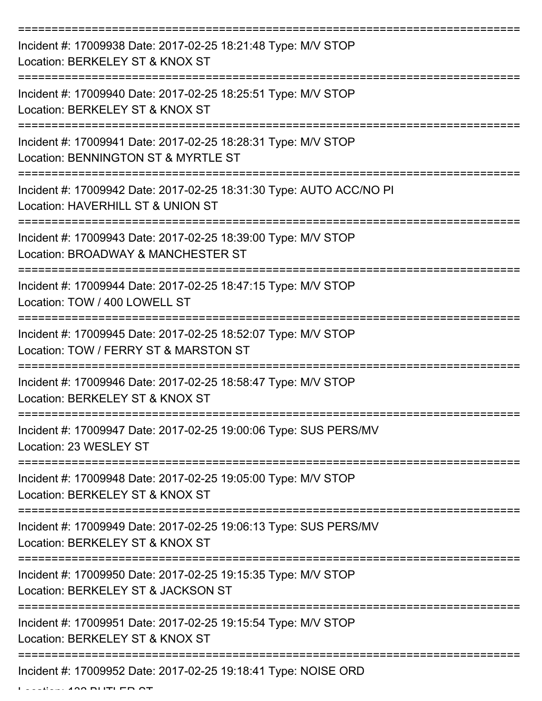| Incident #: 17009938 Date: 2017-02-25 18:21:48 Type: M/V STOP<br>Location: BERKELEY ST & KNOX ST         |
|----------------------------------------------------------------------------------------------------------|
| Incident #: 17009940 Date: 2017-02-25 18:25:51 Type: M/V STOP<br>Location: BERKELEY ST & KNOX ST         |
| Incident #: 17009941 Date: 2017-02-25 18:28:31 Type: M/V STOP<br>Location: BENNINGTON ST & MYRTLE ST     |
| Incident #: 17009942 Date: 2017-02-25 18:31:30 Type: AUTO ACC/NO PI<br>Location: HAVERHILL ST & UNION ST |
| Incident #: 17009943 Date: 2017-02-25 18:39:00 Type: M/V STOP<br>Location: BROADWAY & MANCHESTER ST      |
| Incident #: 17009944 Date: 2017-02-25 18:47:15 Type: M/V STOP<br>Location: TOW / 400 LOWELL ST           |
| Incident #: 17009945 Date: 2017-02-25 18:52:07 Type: M/V STOP<br>Location: TOW / FERRY ST & MARSTON ST   |
| Incident #: 17009946 Date: 2017-02-25 18:58:47 Type: M/V STOP<br>Location: BERKELEY ST & KNOX ST         |
| Incident #: 17009947 Date: 2017-02-25 19:00:06 Type: SUS PERS/MV<br>Location: 23 WESLEY ST               |
| Incident #: 17009948 Date: 2017-02-25 19:05:00 Type: M/V STOP<br>Location: BERKELEY ST & KNOX ST         |
| Incident #: 17009949 Date: 2017-02-25 19:06:13 Type: SUS PERS/MV<br>Location: BERKELEY ST & KNOX ST      |
| Incident #: 17009950 Date: 2017-02-25 19:15:35 Type: M/V STOP<br>Location: BERKELEY ST & JACKSON ST      |
| Incident #: 17009951 Date: 2017-02-25 19:15:54 Type: M/V STOP<br>Location: BERKELEY ST & KNOX ST         |
| Incident #: 17009952 Date: 2017-02-25 19:18:41 Type: NOISE ORD                                           |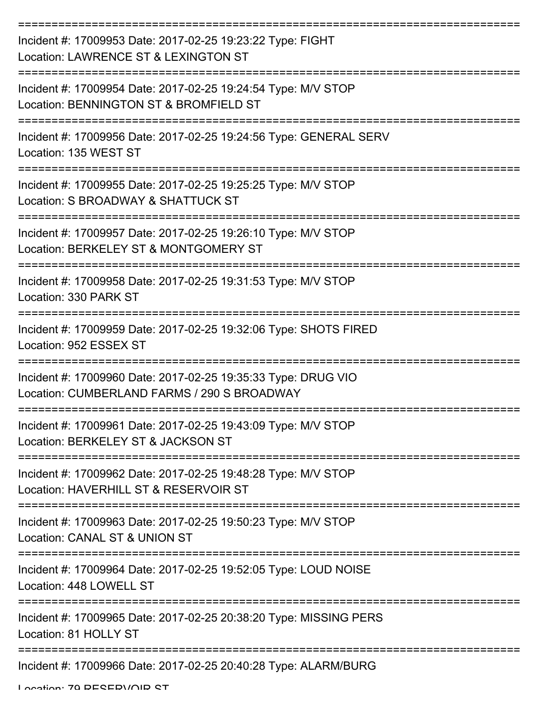| Incident #: 17009953 Date: 2017-02-25 19:23:22 Type: FIGHT<br>Location: LAWRENCE ST & LEXINGTON ST           |
|--------------------------------------------------------------------------------------------------------------|
| Incident #: 17009954 Date: 2017-02-25 19:24:54 Type: M/V STOP<br>Location: BENNINGTON ST & BROMFIELD ST      |
| Incident #: 17009956 Date: 2017-02-25 19:24:56 Type: GENERAL SERV<br>Location: 135 WEST ST                   |
| Incident #: 17009955 Date: 2017-02-25 19:25:25 Type: M/V STOP<br>Location: S BROADWAY & SHATTUCK ST          |
| Incident #: 17009957 Date: 2017-02-25 19:26:10 Type: M/V STOP<br>Location: BERKELEY ST & MONTGOMERY ST       |
| Incident #: 17009958 Date: 2017-02-25 19:31:53 Type: M/V STOP<br>Location: 330 PARK ST                       |
| Incident #: 17009959 Date: 2017-02-25 19:32:06 Type: SHOTS FIRED<br>Location: 952 ESSEX ST                   |
| Incident #: 17009960 Date: 2017-02-25 19:35:33 Type: DRUG VIO<br>Location: CUMBERLAND FARMS / 290 S BROADWAY |
| Incident #: 17009961 Date: 2017-02-25 19:43:09 Type: M/V STOP<br>Location: BERKELEY ST & JACKSON ST          |
| Incident #: 17009962 Date: 2017-02-25 19:48:28 Type: M/V STOP<br>Location: HAVERHILL ST & RESERVOIR ST       |
| Incident #: 17009963 Date: 2017-02-25 19:50:23 Type: M/V STOP<br>Location: CANAL ST & UNION ST               |
| Incident #: 17009964 Date: 2017-02-25 19:52:05 Type: LOUD NOISE<br>Location: 448 LOWELL ST                   |
| Incident #: 17009965 Date: 2017-02-25 20:38:20 Type: MISSING PERS<br>Location: 81 HOLLY ST                   |
| Incident #: 17009966 Date: 2017-02-25 20:40:28 Type: ALARM/BURG                                              |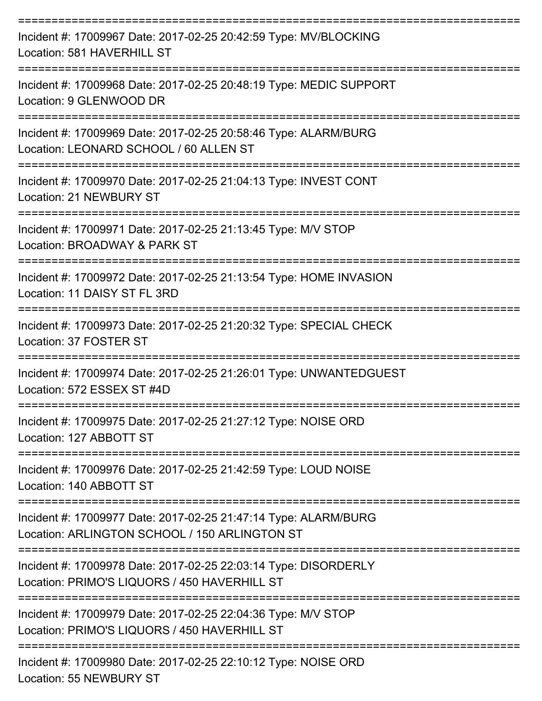| Incident #: 17009967 Date: 2017-02-25 20:42:59 Type: MV/BLOCKING<br>Location: 581 HAVERHILL ST                     |
|--------------------------------------------------------------------------------------------------------------------|
| Incident #: 17009968 Date: 2017-02-25 20:48:19 Type: MEDIC SUPPORT<br>Location: 9 GLENWOOD DR<br>================= |
| Incident #: 17009969 Date: 2017-02-25 20:58:46 Type: ALARM/BURG<br>Location: LEONARD SCHOOL / 60 ALLEN ST          |
| Incident #: 17009970 Date: 2017-02-25 21:04:13 Type: INVEST CONT<br>Location: 21 NEWBURY ST                        |
| Incident #: 17009971 Date: 2017-02-25 21:13:45 Type: M/V STOP<br>Location: BROADWAY & PARK ST                      |
| Incident #: 17009972 Date: 2017-02-25 21:13:54 Type: HOME INVASION<br>Location: 11 DAISY ST FL 3RD                 |
| Incident #: 17009973 Date: 2017-02-25 21:20:32 Type: SPECIAL CHECK<br>Location: 37 FOSTER ST                       |
| Incident #: 17009974 Date: 2017-02-25 21:26:01 Type: UNWANTEDGUEST<br>Location: 572 ESSEX ST #4D                   |
| Incident #: 17009975 Date: 2017-02-25 21:27:12 Type: NOISE ORD<br>Location: 127 ABBOTT ST                          |
| Incident #: 17009976 Date: 2017-02-25 21:42:59 Type: LOUD NOISE<br>Location: 140 ABBOTT ST                         |
| Incident #: 17009977 Date: 2017-02-25 21:47:14 Type: ALARM/BURG<br>Location: ARLINGTON SCHOOL / 150 ARLINGTON ST   |
| Incident #: 17009978 Date: 2017-02-25 22:03:14 Type: DISORDERLY<br>Location: PRIMO'S LIQUORS / 450 HAVERHILL ST    |
| Incident #: 17009979 Date: 2017-02-25 22:04:36 Type: M/V STOP<br>Location: PRIMO'S LIQUORS / 450 HAVERHILL ST      |
| Incident #: 17009980 Date: 2017-02-25 22:10:12 Type: NOISE ORD<br>Location: 55 NEWBURY ST                          |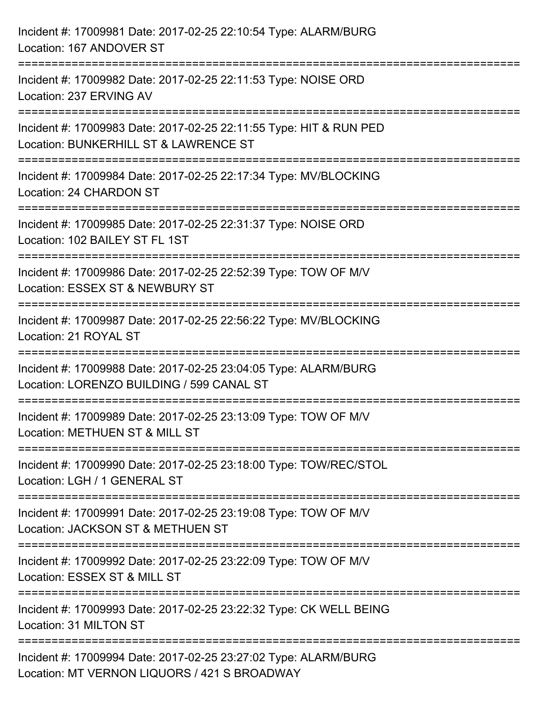| Incident #: 17009981 Date: 2017-02-25 22:10:54 Type: ALARM/BURG<br>Location: 167 ANDOVER ST                     |
|-----------------------------------------------------------------------------------------------------------------|
| Incident #: 17009982 Date: 2017-02-25 22:11:53 Type: NOISE ORD<br>Location: 237 ERVING AV                       |
| Incident #: 17009983 Date: 2017-02-25 22:11:55 Type: HIT & RUN PED<br>Location: BUNKERHILL ST & LAWRENCE ST     |
| Incident #: 17009984 Date: 2017-02-25 22:17:34 Type: MV/BLOCKING<br>Location: 24 CHARDON ST                     |
| Incident #: 17009985 Date: 2017-02-25 22:31:37 Type: NOISE ORD<br>Location: 102 BAILEY ST FL 1ST                |
| Incident #: 17009986 Date: 2017-02-25 22:52:39 Type: TOW OF M/V<br>Location: ESSEX ST & NEWBURY ST              |
| :==============<br>Incident #: 17009987 Date: 2017-02-25 22:56:22 Type: MV/BLOCKING<br>Location: 21 ROYAL ST    |
| Incident #: 17009988 Date: 2017-02-25 23:04:05 Type: ALARM/BURG<br>Location: LORENZO BUILDING / 599 CANAL ST    |
| Incident #: 17009989 Date: 2017-02-25 23:13:09 Type: TOW OF M/V<br>Location: METHUEN ST & MILL ST               |
| Incident #: 17009990 Date: 2017-02-25 23:18:00 Type: TOW/REC/STOL<br>Location: LGH / 1 GENERAL ST               |
| Incident #: 17009991 Date: 2017-02-25 23:19:08 Type: TOW OF M/V<br>Location: JACKSON ST & METHUEN ST            |
| Incident #: 17009992 Date: 2017-02-25 23:22:09 Type: TOW OF M/V<br>Location: ESSEX ST & MILL ST                 |
| Incident #: 17009993 Date: 2017-02-25 23:22:32 Type: CK WELL BEING<br>Location: 31 MILTON ST                    |
| Incident #: 17009994 Date: 2017-02-25 23:27:02 Type: ALARM/BURG<br>Location: MT VERNON LIQUORS / 421 S BROADWAY |